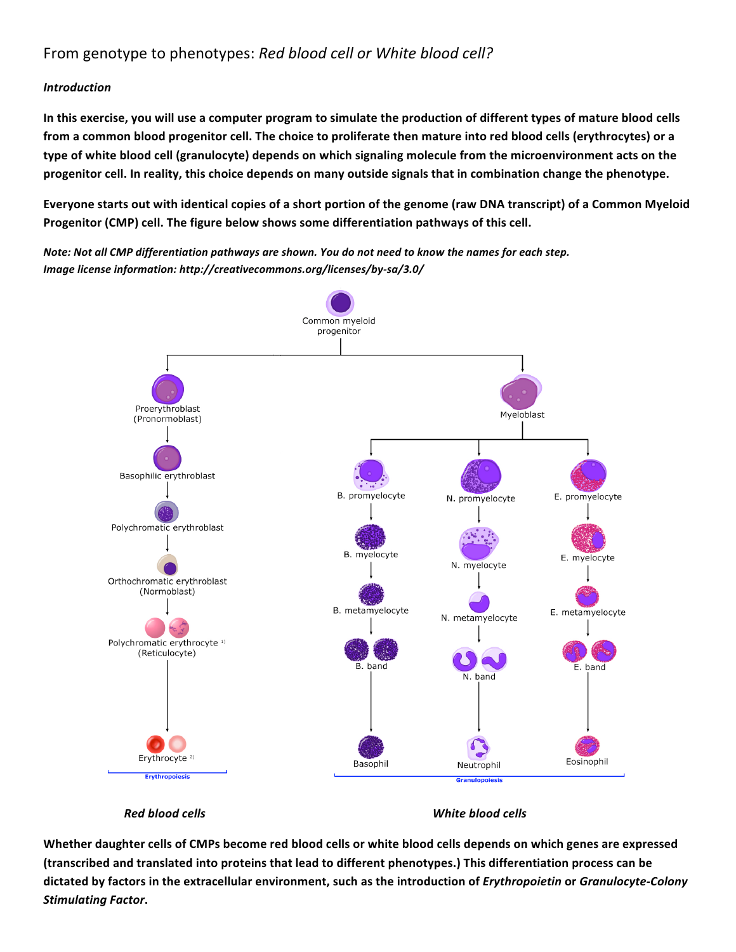# From genotype to phenotypes: *Red blood cell or White blood cell?*

#### *Introduction*

**In this exercise, you will use a computer program to simulate the production of different types of mature blood cells from a common blood progenitor cell. The choice to proliferate then mature into red blood cells (erythrocytes) or a type of white blood cell (granulocyte) depends on which signaling molecule from the microenvironment acts on the progenitor cell. In reality, this choice depends on many outside signals that in combination change the phenotype.**

**Everyone starts out with identical copies of a short portion of the genome (raw DNA transcript) of a Common Myeloid Progenitor (CMP) cell. The figure below shows some differentiation pathways of this cell.** 

*Note: Not all CMP differentiation pathways are shown. You do not need to know the names for each step. Image license information: http://creativecommons.org/licenses/by‐sa/3.0/*



 *Red blood cells White blood cells*

**Whether daughter cells of CMPs become red blood cells or white blood cells depends on which genes are expressed (transcribed and translated into proteins that lead to different phenotypes.) This differentiation process can be dictated by factors in the extracellular environment, such as the introduction of** *Erythropoietin* **or** *Granulocyte‐Colony Stimulating Factor***.**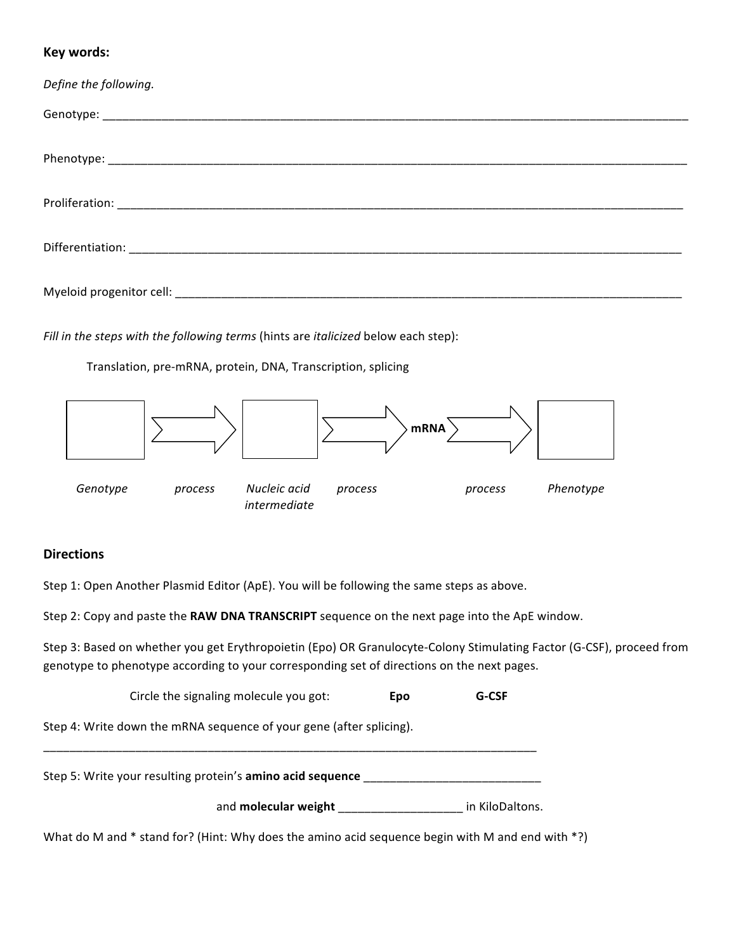# **Key words:**

| Define the following. |
|-----------------------|
|                       |
|                       |
|                       |
|                       |
|                       |

*Fill in the steps with the following terms* (hints are *italicized* below each step):

Translation, pre‐mRNA, protein, DNA, Transcription, splicing



### **Directions**

Step 1: Open Another Plasmid Editor (ApE). You will be following the same steps as above.

 *intermediate*

Step 2: Copy and paste the **RAW DNA TRANSCRIPT** sequence on the next page into the ApE window.

Step 3: Based on whether you get Erythropoietin (Epo) OR Granulocyte‐Colony Stimulating Factor (G‐CSF), proceed from genotype to phenotype according to your corresponding set of directions on the next pages.

Circle the signaling molecule you got: **Epo G‐CSF**

Step 4: Write down the mRNA sequence of your gene (after splicing).

Step 5: Write your resulting protein's **amino acid sequence** 

\_\_\_\_\_\_\_\_\_\_\_\_\_\_\_\_\_\_\_\_\_\_\_\_\_\_\_\_\_\_\_\_\_\_\_\_\_\_\_\_\_\_\_\_\_\_\_\_\_\_\_\_\_\_\_\_\_\_\_\_\_\_\_\_\_\_\_\_\_\_\_\_\_\_\_

and **molecular weight** \_\_\_\_\_\_\_\_\_\_\_\_\_\_\_\_\_\_\_ in KiloDaltons.

What do M and \* stand for? (Hint: Why does the amino acid sequence begin with M and end with \*?)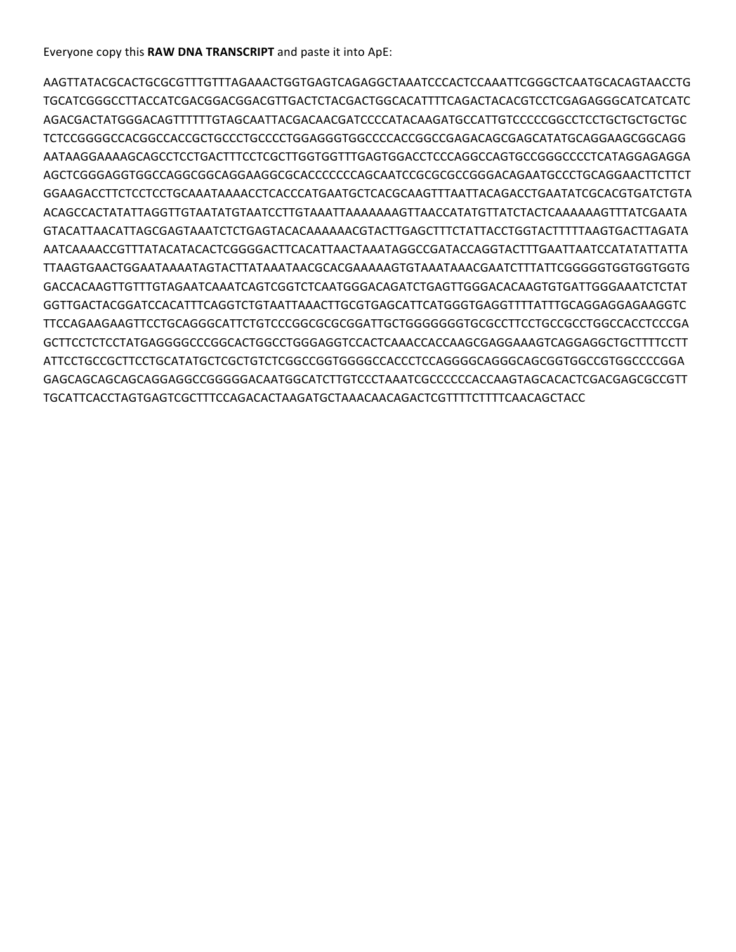Everyone copy this **RAW DNA TRANSCRIPT** and paste it into ApE:

AAGTTATACGCACTGCGCGTTTGTTTAGAAACTGGTGAGTCAGAGGCTAAATCCCACTCCAAATTCGGGCTCAATGCACAGTAACCTG TGCATCGGGCCTTACCATCGACGGACGGACGTTGACTCTACGACTGGCACATTTTCAGACTACACGTCCTCGAGAGGGCATCATCATC AGACGACTATGGGACAGTTTTTTGTAGCAATTACGACAACGATCCCCATACAAGATGCCATTGTCCCCCGGCCTCCTGCTGCTGCTGC TCTCCGGGGCCACGGCCACCGCTGCCCTGCCCCTGGAGGGTGGCCCCACCGGCCGAGACAGCGAGCATATGCAGGAAGCGGCAGG AATAAGGAAAAGCAGCCTCCTGACTTTCCTCGCTTGGTGGTTTGAGTGGACCTCCCAGGCCAGTGCCGGGCCCCTCATAGGAGAGGA AGCTCGGGAGGTGGCCAGGCGGCAGGAAGGCGCACCCCCCCAGCAATCCGCGCGCCGGGACAGAATGCCCTGCAGGAACTTCTTCT GGAAGACCTTCTCCTCCTGCAAATAAAACCTCACCCATGAATGCTCACGCAAGTTTAATTACAGACCTGAATATCGCACGTGATCTGTA ACAGCCACTATATTAGGTTGTAATATGTAATCCTTGTAAATTAAAAAAAGTTAACCATATGTTATCTACTCAAAAAAGTTTATCGAATA GTACATTAACATTAGCGAGTAAATCTCTGAGTACACAAAAAACGTACTTGAGCTTTCTATTACCTGGTACTTTTTAAGTGACTTAGATA AATCAAAACCGTTTATACATACACTCGGGGACTTCACATTAACTAAATAGGCCGATACCAGGTACTTTGAATTAATCCATATATTATTA TTAAGTGAACTGGAATAAAATAGTACTTATAAATAACGCACGAAAAAGTGTAAATAAACGAATCTTTATTCGGGGGTGGTGGTGGTG GACCACAAGTTGTTTGTAGAATCAAATCAGTCGGTCTCAATGGGACAGATCTGAGTTGGGACACAAGTGTGATTGGGAAATCTCTAT GGTTGACTACGGATCCACATTTCAGGTCTGTAATTAAACTTGCGTGAGCATTCATGGGTGAGGTTTTATTTGCAGGAGGAGAAGGTC TTCCAGAAGAAGTTCCTGCAGGGCATTCTGTCCCGGCGCGCGGATTGCTGGGGGGGTGCGCCTTCCTGCCGCCTGGCCACCTCCCGA GCTTCCTCTCCTATGAGGGGCCCGGCACTGGCCTGGGAGGTCCACTCAAACCACCAAGCGAGGAAAGTCAGGAGGCTGCTTTTCCTT ATTCCTGCCGCTTCCTGCATATGCTCGCTGTCTCGGCCGGTGGGGCCACCCTCCAGGGGCAGGGCAGCGGTGGCCGTGGCCCCGGA GAGCAGCAGCAGCAGGAGGCCGGGGGACAATGGCATCTTGTCCCTAAATCGCCCCCCACCAAGTAGCACACTCGACGAGCGCCGTT TGCATTCACCTAGTGAGTCGCTTTCCAGACACTAAGATGCTAAACAACAGACTCGTTTTCTTTTCAACAGCTACC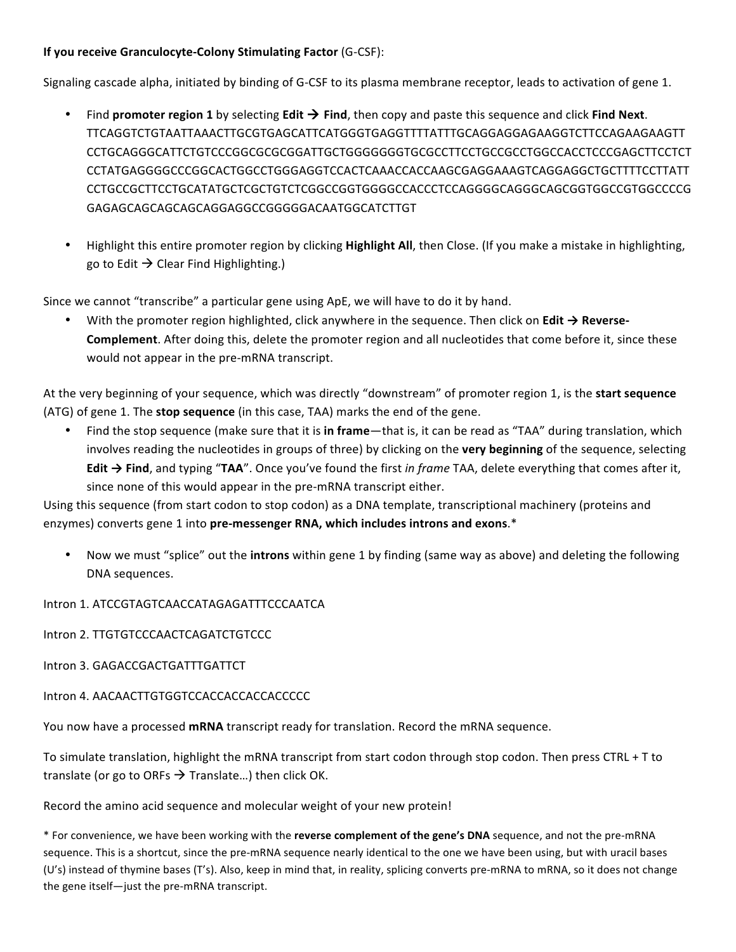#### **If you receive Granculocyte‐Colony Stimulating Factor** (G‐CSF):

Signaling cascade alpha, initiated by binding of G‐CSF to its plasma membrane receptor, leads to activation of gene 1.

- Find **promoter region 1** by selecting **Edit**  $\rightarrow$  **Find**, then copy and paste this sequence and click **Find Next**. TTCAGGTCTGTAATTAAACTTGCGTGAGCATTCATGGGTGAGGTTTTATTTGCAGGAGGAGAAGGTCTTCCAGAAGAAGTT CCTGCAGGGCATTCTGTCCCGGCGCGCGGATTGCTGGGGGGGTGCGCCTTCCTGCCGCCTGGCCACCTCCCGAGCTTCCTCT CCTATGAGGGGCCCGGCACTGGCCTGGGAGGTCCACTCAAACCACCAAGCGAGGAAAGTCAGGAGGCTGCTTTTCCTTATT CCTGCCGCTTCCTGCATATGCTCGCTGTCTCGGCCGGTGGGGCCACCCTCCAGGGGCAGGGCAGCGGTGGCCGTGGCCCCG GAGAGCAGCAGCAGCAGGAGGCCGGGGGACAATGGCATCTTGT
- Highlight this entire promoter region by clicking **Highlight All**, then Close. (If you make a mistake in highlighting, go to Edit  $\rightarrow$  Clear Find Highlighting.)

Since we cannot "transcribe" a particular gene using ApE, we will have to do it by hand.

• With the promoter region highlighted, click anywhere in the sequence. Then click on **Edit → Reverse‐ Complement**. After doing this, delete the promoter region and all nucleotides that come before it, since these would not appear in the pre‐mRNA transcript.

At the very beginning of your sequence, which was directly "downstream" of promoter region 1, is the **start sequence** (ATG) of gene 1. The **stop sequence** (in this case, TAA) marks the end of the gene.

• Find the stop sequence (make sure that it is **in frame**—that is, it can be read as "TAA" during translation, which involves reading the nucleotides in groups of three) by clicking on the **very beginning** of the sequence, selecting **Edit → Find**, and typing "**TAA**". Once you've found the first *in frame* TAA, delete everything that comes after it, since none of this would appear in the pre-mRNA transcript either.

Using this sequence (from start codon to stop codon) as a DNA template, transcriptional machinery (proteins and enzymes) converts gene 1 into **pre‐messenger RNA, which includes introns and exons**.\*

• Now we must "splice" out the **introns** within gene 1 by finding (same way as above) and deleting the following DNA sequences.

Intron 1. ATCCGTAGTCAACCATAGAGATTTCCCAATCA

Intron 2. TTGTGTCCCAACTCAGATCTGTCCC

Intron 3. GAGACCGACTGATTTGATTCT

Intron 4. AACAACTTGTGGTCCACCACCACCACCCCC

You now have a processed **mRNA** transcript ready for translation. Record the mRNA sequence.

To simulate translation, highlight the mRNA transcript from start codon through stop codon. Then press CTRL + T to translate (or go to ORFs  $\rightarrow$  Translate...) then click OK.

Record the amino acid sequence and molecular weight of your new protein!

\* For convenience, we have been working with the **reverse complement of the gene's DNA** sequence, and not the pre‐mRNA sequence. This is a shortcut, since the pre-mRNA sequence nearly identical to the one we have been using, but with uracil bases (U's) instead of thymine bases (T's). Also, keep in mind that, in reality, splicing converts pre‐mRNA to mRNA, so it does not change the gene itself—just the pre‐mRNA transcript.